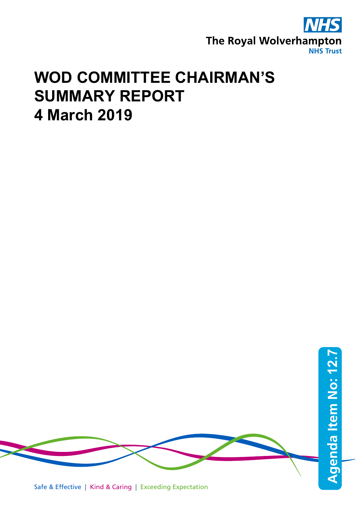

## **WOD COMMITTEE CHAIRMAN'S SUMMARY REPORT 4 March 2019**

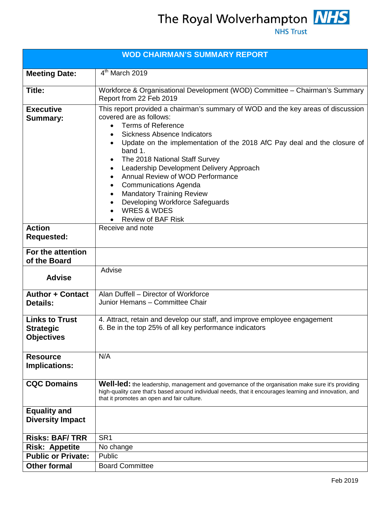| <b>WOD CHAIRMAN'S SUMMARY REPORT</b>                           |                                                                                                                                                                                                                                                                                                                                                                                                                                                                                                                                                                                                                                          |  |  |
|----------------------------------------------------------------|------------------------------------------------------------------------------------------------------------------------------------------------------------------------------------------------------------------------------------------------------------------------------------------------------------------------------------------------------------------------------------------------------------------------------------------------------------------------------------------------------------------------------------------------------------------------------------------------------------------------------------------|--|--|
| <b>Meeting Date:</b>                                           | $4th$ March 2019                                                                                                                                                                                                                                                                                                                                                                                                                                                                                                                                                                                                                         |  |  |
| Title:                                                         | Workforce & Organisational Development (WOD) Committee - Chairman's Summary<br>Report from 22 Feb 2019                                                                                                                                                                                                                                                                                                                                                                                                                                                                                                                                   |  |  |
| <b>Executive</b><br><b>Summary:</b>                            | This report provided a chairman's summary of WOD and the key areas of discussion<br>covered are as follows:<br><b>Terms of Reference</b><br>$\bullet$<br><b>Sickness Absence Indicators</b><br>Update on the implementation of the 2018 AfC Pay deal and the closure of<br>band 1.<br>The 2018 National Staff Survey<br>$\bullet$<br>Leadership Development Delivery Approach<br>$\bullet$<br>Annual Review of WOD Performance<br>$\bullet$<br><b>Communications Agenda</b><br>$\bullet$<br><b>Mandatory Training Review</b><br>٠<br>Developing Workforce Safeguards<br>$\bullet$<br><b>WRES &amp; WDES</b><br><b>Review of BAF Risk</b> |  |  |
| <b>Action</b><br><b>Requested:</b>                             | Receive and note                                                                                                                                                                                                                                                                                                                                                                                                                                                                                                                                                                                                                         |  |  |
| For the attention<br>of the Board                              |                                                                                                                                                                                                                                                                                                                                                                                                                                                                                                                                                                                                                                          |  |  |
| <b>Advise</b>                                                  | Advise                                                                                                                                                                                                                                                                                                                                                                                                                                                                                                                                                                                                                                   |  |  |
| <b>Author + Contact</b><br><b>Details:</b>                     | Alan Duffell - Director of Workforce<br>Junior Hemans - Committee Chair                                                                                                                                                                                                                                                                                                                                                                                                                                                                                                                                                                  |  |  |
| <b>Links to Trust</b><br><b>Strategic</b><br><b>Objectives</b> | 4. Attract, retain and develop our staff, and improve employee engagement<br>6. Be in the top 25% of all key performance indicators                                                                                                                                                                                                                                                                                                                                                                                                                                                                                                      |  |  |
| <b>Resource</b><br>Implications:                               | N/A                                                                                                                                                                                                                                                                                                                                                                                                                                                                                                                                                                                                                                      |  |  |
| <b>CQC Domains</b>                                             | Well-led: the leadership, management and governance of the organisation make sure it's providing<br>high-quality care that's based around individual needs, that it encourages learning and innovation, and<br>that it promotes an open and fair culture.                                                                                                                                                                                                                                                                                                                                                                                |  |  |
| <b>Equality and</b><br><b>Diversity Impact</b>                 |                                                                                                                                                                                                                                                                                                                                                                                                                                                                                                                                                                                                                                          |  |  |
| <b>Risks: BAF/TRR</b>                                          | SR <sub>1</sub>                                                                                                                                                                                                                                                                                                                                                                                                                                                                                                                                                                                                                          |  |  |
| <b>Risk: Appetite</b>                                          | No change                                                                                                                                                                                                                                                                                                                                                                                                                                                                                                                                                                                                                                |  |  |
| <b>Public or Private:</b>                                      | Public                                                                                                                                                                                                                                                                                                                                                                                                                                                                                                                                                                                                                                   |  |  |
| <b>Other formal</b>                                            | <b>Board Committee</b>                                                                                                                                                                                                                                                                                                                                                                                                                                                                                                                                                                                                                   |  |  |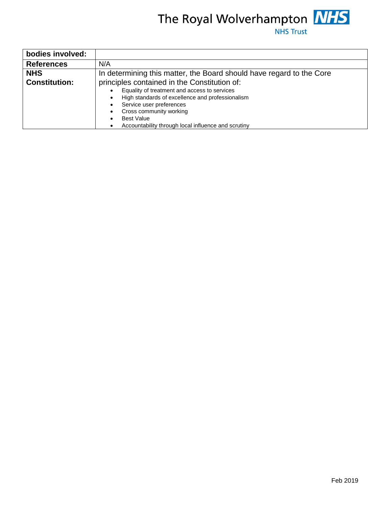

| bodies involved:     |                                                                      |  |  |  |
|----------------------|----------------------------------------------------------------------|--|--|--|
| <b>References</b>    | N/A                                                                  |  |  |  |
| <b>NHS</b>           | In determining this matter, the Board should have regard to the Core |  |  |  |
| <b>Constitution:</b> | principles contained in the Constitution of:                         |  |  |  |
|                      | Equality of treatment and access to services                         |  |  |  |
|                      | High standards of excellence and professionalism<br>$\bullet$        |  |  |  |
|                      | Service user preferences                                             |  |  |  |
|                      | Cross community working                                              |  |  |  |
|                      | <b>Best Value</b>                                                    |  |  |  |
|                      | Accountability through local influence and scrutiny                  |  |  |  |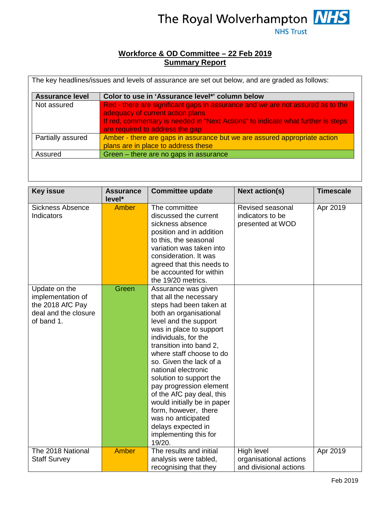

## **Workforce & OD Committee – 22 Feb 2019 Summary Report**

| <b>Assurance level</b> | Color to use in 'Assurance level*' column below                                                                                                                                                                                           |
|------------------------|-------------------------------------------------------------------------------------------------------------------------------------------------------------------------------------------------------------------------------------------|
| Not assured            | Red - there are significant gaps in assurance and we are not assured as to the<br>adequacy of current action plans<br>If red, commentary is needed in "Next Actions" to indicate what further is steps<br>are required to address the gap |
| Partially assured      | Amber - there are gaps in assurance but we are assured appropriate action<br>plans are in place to address these                                                                                                                          |
| Assured                | Green – there are no gaps in assurance                                                                                                                                                                                                    |

| <b>Key issue</b>                                                                             | <b>Assurance</b><br>level* | <b>Committee update</b>                                                                                                                                                                                                                                                                                                                                                                                                                                                                                          | <b>Next action(s)</b>                                          | <b>Timescale</b> |
|----------------------------------------------------------------------------------------------|----------------------------|------------------------------------------------------------------------------------------------------------------------------------------------------------------------------------------------------------------------------------------------------------------------------------------------------------------------------------------------------------------------------------------------------------------------------------------------------------------------------------------------------------------|----------------------------------------------------------------|------------------|
| <b>Sickness Absence</b><br>Indicators                                                        | <b>Amber</b>               | The committee<br>discussed the current<br>sickness absence<br>position and in addition<br>to this, the seasonal<br>variation was taken into<br>consideration. It was<br>agreed that this needs to<br>be accounted for within<br>the 19/20 metrics.                                                                                                                                                                                                                                                               | Revised seasonal<br>indicators to be<br>presented at WOD       | Apr 2019         |
| Update on the<br>implementation of<br>the 2018 AfC Pay<br>deal and the closure<br>of band 1. | Green                      | Assurance was given<br>that all the necessary<br>steps had been taken at<br>both an organisational<br>level and the support<br>was in place to support<br>individuals, for the<br>transition into band 2,<br>where staff choose to do<br>so. Given the lack of a<br>national electronic<br>solution to support the<br>pay progression element<br>of the AfC pay deal, this<br>would initially be in paper<br>form, however, there<br>was no anticipated<br>delays expected in<br>implementing this for<br>19/20. |                                                                |                  |
| The 2018 National<br><b>Staff Survey</b>                                                     | <b>Amber</b>               | The results and initial<br>analysis were tabled,<br>recognising that they                                                                                                                                                                                                                                                                                                                                                                                                                                        | High level<br>organisational actions<br>and divisional actions | Apr 2019         |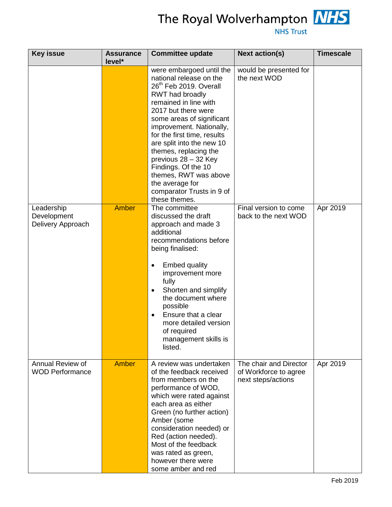

| <b>Key issue</b>                               | <b>Assurance</b><br>level* | <b>Committee update</b>                                                                                                                                                                                                                                                                                                                                                                                                                             | <b>Next action(s)</b>                                                 | <b>Timescale</b> |
|------------------------------------------------|----------------------------|-----------------------------------------------------------------------------------------------------------------------------------------------------------------------------------------------------------------------------------------------------------------------------------------------------------------------------------------------------------------------------------------------------------------------------------------------------|-----------------------------------------------------------------------|------------------|
|                                                |                            | were embargoed until the<br>national release on the<br>26 <sup>th</sup> Feb 2019. Overall<br>RWT had broadly<br>remained in line with<br>2017 but there were<br>some areas of significant<br>improvement. Nationally,<br>for the first time, results<br>are split into the new 10<br>themes, replacing the<br>previous 28 - 32 Key<br>Findings. Of the 10<br>themes, RWT was above<br>the average for<br>comparator Trusts in 9 of<br>these themes. | would be presented for<br>the next WOD                                |                  |
| Leadership<br>Development<br>Delivery Approach | <b>Amber</b>               | The committee<br>discussed the draft<br>approach and made 3<br>additional<br>recommendations before<br>being finalised:<br><b>Embed quality</b><br>improvement more<br>fully<br>Shorten and simplify<br>$\bullet$<br>the document where<br>possible<br>Ensure that a clear<br>$\bullet$<br>more detailed version<br>of required<br>management skills is<br>listed.                                                                                  | Final version to come<br>back to the next WOD                         | Apr 2019         |
| Annual Review of<br><b>WOD Performance</b>     | Amber                      | A review was undertaken<br>of the feedback received<br>from members on the<br>performance of WOD,<br>which were rated against<br>each area as either<br>Green (no further action)<br>Amber (some<br>consideration needed) or<br>Red (action needed).<br>Most of the feedback<br>was rated as green,<br>however there were<br>some amber and red                                                                                                     | The chair and Director<br>of Workforce to agree<br>next steps/actions | Apr 2019         |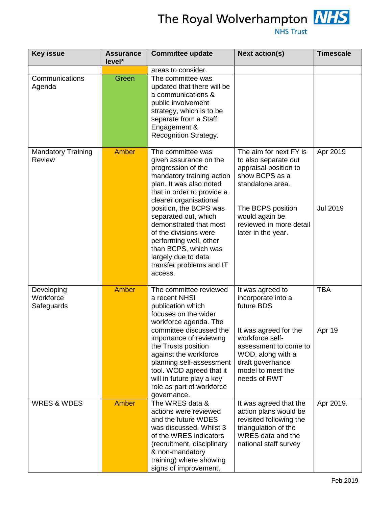

| <b>Key issue</b>                                         | <b>Assurance</b><br>level*   | <b>Committee update</b>                                                                                                                                                                                                                                                                                                                                                                                                                                   | <b>Next action(s)</b>                                                                                                                                                                                                     | <b>Timescale</b>                          |
|----------------------------------------------------------|------------------------------|-----------------------------------------------------------------------------------------------------------------------------------------------------------------------------------------------------------------------------------------------------------------------------------------------------------------------------------------------------------------------------------------------------------------------------------------------------------|---------------------------------------------------------------------------------------------------------------------------------------------------------------------------------------------------------------------------|-------------------------------------------|
| Communications<br>Agenda                                 | Green                        | areas to consider.<br>The committee was<br>updated that there will be<br>a communications &<br>public involvement<br>strategy, which is to be<br>separate from a Staff<br>Engagement &                                                                                                                                                                                                                                                                    |                                                                                                                                                                                                                           |                                           |
| <b>Mandatory Training</b><br><b>Review</b><br>Developing | <b>Amber</b><br><b>Amber</b> | Recognition Strategy.<br>The committee was<br>given assurance on the<br>progression of the<br>mandatory training action<br>plan. It was also noted<br>that in order to provide a<br>clearer organisational<br>position, the BCPS was<br>separated out, which<br>demonstrated that most<br>of the divisions were<br>performing well, other<br>than BCPS, which was<br>largely due to data<br>transfer problems and IT<br>access.<br>The committee reviewed | The aim for next FY is<br>to also separate out<br>appraisal position to<br>show BCPS as a<br>standalone area.<br>The BCPS position<br>would again be<br>reviewed in more detail<br>later in the year.<br>It was agreed to | Apr 2019<br><b>Jul 2019</b><br><b>TBA</b> |
| Workforce<br>Safeguards                                  |                              | a recent NHSI<br>publication which<br>focuses on the wider<br>workforce agenda. The<br>committee discussed the<br>importance of reviewing<br>the Trusts position<br>against the workforce<br>planning self-assessment<br>tool. WOD agreed that it<br>will in future play a key<br>role as part of workforce<br>governance.                                                                                                                                | incorporate into a<br>future BDS<br>It was agreed for the<br>workforce self-<br>assessment to come to<br>WOD, along with a<br>draft governance<br>model to meet the<br>needs of RWT                                       | Apr 19                                    |
| <b>WRES &amp; WDES</b>                                   | Amber                        | The WRES data &<br>actions were reviewed<br>and the future WDES<br>was discussed. Whilst 3<br>of the WRES indicators<br>(recruitment, disciplinary<br>& non-mandatory<br>training) where showing<br>signs of improvement,                                                                                                                                                                                                                                 | It was agreed that the<br>action plans would be<br>revisited following the<br>triangulation of the<br>WRES data and the<br>national staff survey                                                                          | Apr 2019.                                 |